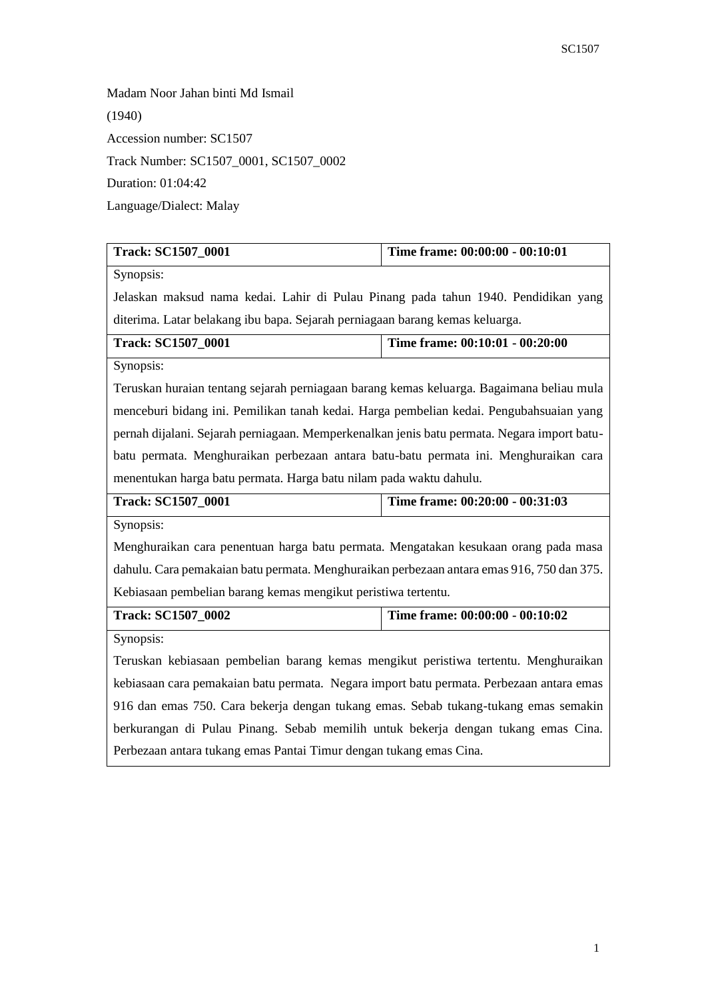Madam Noor Jahan binti Md Ismail (1940) Accession number: SC1507 Track Number: SC1507\_0001, SC1507\_0002 Duration: 01:04:42 Language/Dialect: Malay

| <b>Track: SC1507_0001</b>                                                                   | Time frame: 00:00:00 - 00:10:01 |  |
|---------------------------------------------------------------------------------------------|---------------------------------|--|
| Synopsis:                                                                                   |                                 |  |
| Jelaskan maksud nama kedai. Lahir di Pulau Pinang pada tahun 1940. Pendidikan yang          |                                 |  |
| diterima. Latar belakang ibu bapa. Sejarah perniagaan barang kemas keluarga.                |                                 |  |
| <b>Track: SC1507_0001</b>                                                                   | Time frame: 00:10:01 - 00:20:00 |  |
| Synopsis:                                                                                   |                                 |  |
| Teruskan huraian tentang sejarah perniagaan barang kemas keluarga. Bagaimana beliau mula    |                                 |  |
| menceburi bidang ini. Pemilikan tanah kedai. Harga pembelian kedai. Pengubahsuaian yang     |                                 |  |
| pernah dijalani. Sejarah perniagaan. Memperkenalkan jenis batu permata. Negara import batu- |                                 |  |
| batu permata. Menghuraikan perbezaan antara batu-batu permata ini. Menghuraikan cara        |                                 |  |
| menentukan harga batu permata. Harga batu nilam pada waktu dahulu.                          |                                 |  |
| <b>Track: SC1507_0001</b>                                                                   | Time frame: 00:20:00 - 00:31:03 |  |
| Synopsis:                                                                                   |                                 |  |
| Menghuraikan cara penentuan harga batu permata. Mengatakan kesukaan orang pada masa         |                                 |  |
| dahulu. Cara pemakaian batu permata. Menghuraikan perbezaan antara emas 916, 750 dan 375.   |                                 |  |
| Kebiasaan pembelian barang kemas mengikut peristiwa tertentu.                               |                                 |  |
| <b>Track: SC1507_0002</b>                                                                   | Time frame: 00:00:00 - 00:10:02 |  |
| Synopsis:                                                                                   |                                 |  |
| Teruskan kebiasaan pembelian barang kemas mengikut peristiwa tertentu. Menghuraikan         |                                 |  |
| kebiasaan cara pemakaian batu permata. Negara import batu permata. Perbezaan antara emas    |                                 |  |
| 916 dan emas 750. Cara bekerja dengan tukang emas. Sebab tukang-tukang emas semakin         |                                 |  |
| berkurangan di Pulau Pinang. Sebab memilih untuk bekerja dengan tukang emas Cina.           |                                 |  |
| Perbezaan antara tukang emas Pantai Timur dengan tukang emas Cina.                          |                                 |  |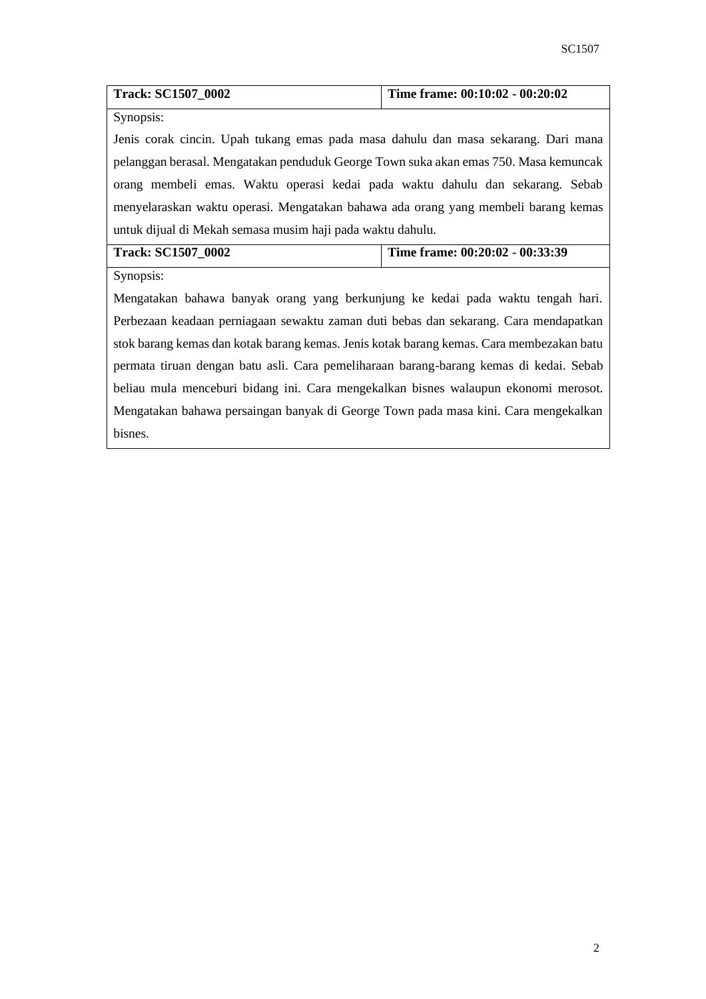| Track: SC1507_0002                                                                       | Time frame: 00:10:02 - 00:20:02 |  |
|------------------------------------------------------------------------------------------|---------------------------------|--|
| Synopsis:                                                                                |                                 |  |
| Jenis corak cincin. Upah tukang emas pada masa dahulu dan masa sekarang. Dari mana       |                                 |  |
| pelanggan berasal. Mengatakan penduduk George Town suka akan emas 750. Masa kemuncak     |                                 |  |
| orang membeli emas. Waktu operasi kedai pada waktu dahulu dan sekarang. Sebab            |                                 |  |
| menyelaraskan waktu operasi. Mengatakan bahawa ada orang yang membeli barang kemas       |                                 |  |
| untuk dijual di Mekah semasa musim haji pada waktu dahulu.                               |                                 |  |
| <b>Track: SC1507_0002</b>                                                                | Time frame: 00:20:02 - 00:33:39 |  |
| Synopsis:                                                                                |                                 |  |
| Mengatakan bahawa banyak orang yang berkunjung ke kedai pada waktu tengah hari.          |                                 |  |
| Perbezaan keadaan perniagaan sewaktu zaman duti bebas dan sekarang. Cara mendapatkan     |                                 |  |
| stok barang kemas dan kotak barang kemas. Jenis kotak barang kemas. Cara membezakan batu |                                 |  |
| permata tiruan dengan batu asli. Cara pemeliharaan barang-barang kemas di kedai. Sebab   |                                 |  |
| beliau mula menceburi bidang ini. Cara mengekalkan bisnes walaupun ekonomi merosot.      |                                 |  |
| Mengatakan bahawa persaingan banyak di George Town pada masa kini. Cara mengekalkan      |                                 |  |

bisnes.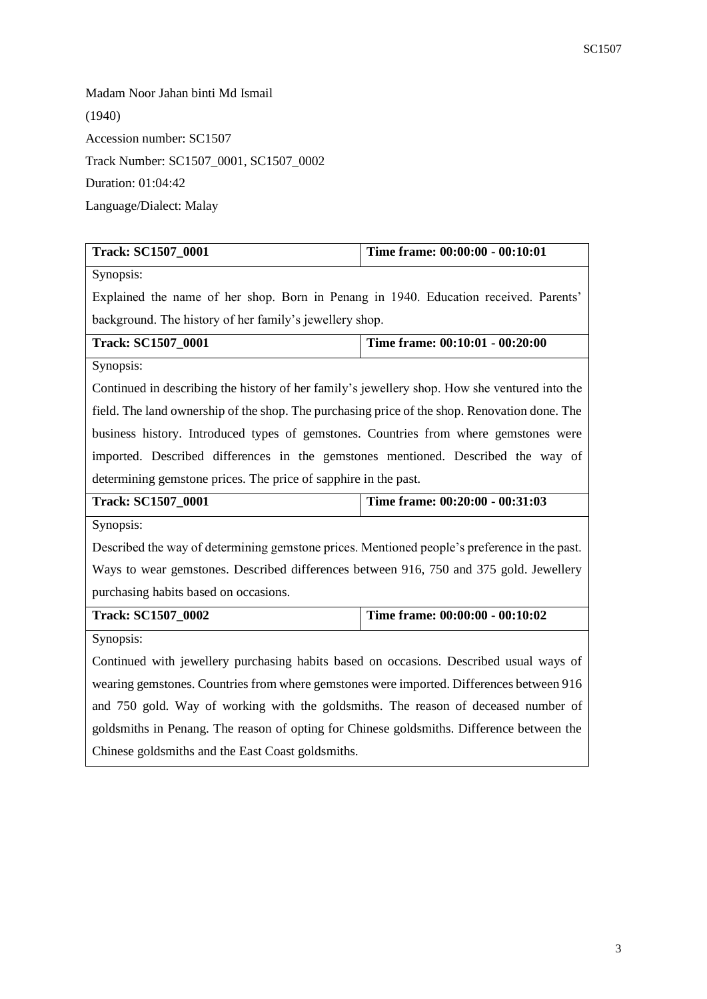Madam Noor Jahan binti Md Ismail (1940) Accession number: SC1507 Track Number: SC1507\_0001, SC1507\_0002 Duration: 01:04:42 Language/Dialect: Malay

| <b>Track: SC1507_0001</b>                                                                     | Time frame: 00:00:00 - 00:10:01 |  |
|-----------------------------------------------------------------------------------------------|---------------------------------|--|
| Synopsis:                                                                                     |                                 |  |
| Explained the name of her shop. Born in Penang in 1940. Education received. Parents'          |                                 |  |
| background. The history of her family's jewellery shop.                                       |                                 |  |
| <b>Track: SC1507_0001</b>                                                                     | Time frame: 00:10:01 - 00:20:00 |  |
| Synopsis:                                                                                     |                                 |  |
| Continued in describing the history of her family's jewellery shop. How she ventured into the |                                 |  |
| field. The land ownership of the shop. The purchasing price of the shop. Renovation done. The |                                 |  |
| business history. Introduced types of gemstones. Countries from where gemstones were          |                                 |  |
| imported. Described differences in the gemstones mentioned. Described the way of              |                                 |  |
| determining gemstone prices. The price of sapphire in the past.                               |                                 |  |
| <b>Track: SC1507_0001</b>                                                                     | Time frame: 00:20:00 - 00:31:03 |  |
| Synopsis:                                                                                     |                                 |  |
| Described the way of determining gemstone prices. Mentioned people's preference in the past.  |                                 |  |
| Ways to wear gemstones. Described differences between 916, 750 and 375 gold. Jewellery        |                                 |  |
| purchasing habits based on occasions.                                                         |                                 |  |
| <b>Track: SC1507_0002</b>                                                                     | Time frame: 00:00:00 - 00:10:02 |  |
| Synopsis:                                                                                     |                                 |  |
| Continued with jewellery purchasing habits based on occasions. Described usual ways of        |                                 |  |
| wearing gemstones. Countries from where gemstones were imported. Differences between 916      |                                 |  |
| and 750 gold. Way of working with the goldsmiths. The reason of deceased number of            |                                 |  |
| goldsmiths in Penang. The reason of opting for Chinese goldsmiths. Difference between the     |                                 |  |
| Chinese goldsmiths and the East Coast goldsmiths.                                             |                                 |  |